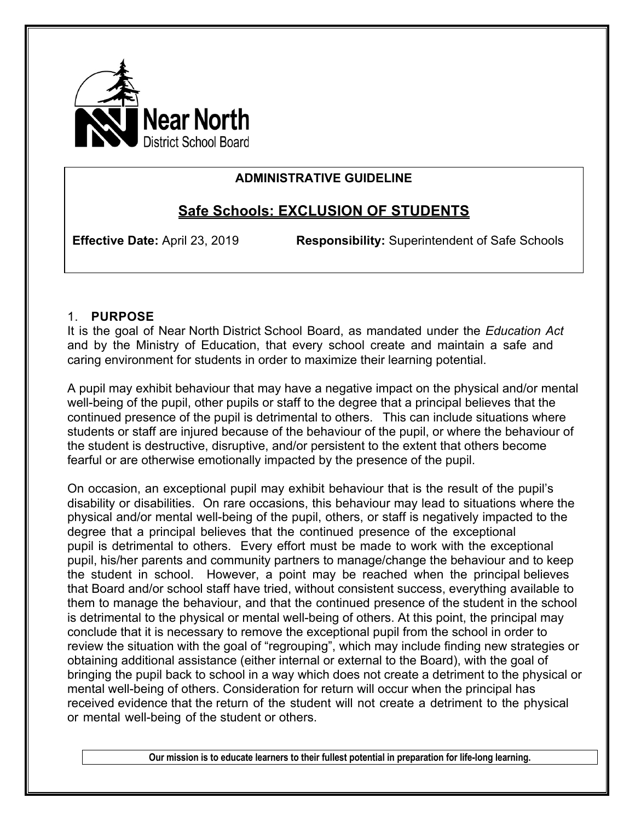

### **ADMINISTRATIVE GUIDELINE**

# **Safe Schools: EXCLUSION OF STUDENTS**

**Effective Date:** April 23, 2019 **Responsibility:** Superintendent of Safe Schools

### 1. **PURPOSE**

It is the goal of Near North District School Board, as mandated under the *Education Act*  and by the Ministry of Education, that every school create and maintain a safe and caring environment for students in order to maximize their learning potential.

A pupil may exhibit behaviour that may have a negative impact on the physical and/or mental well-being of the pupil, other pupils or staff to the degree that a principal believes that the continued presence of the pupil is detrimental to others. This can include situations where students or staff are injured because of the behaviour of the pupil, or where the behaviour of the student is destructive, disruptive, and/or persistent to the extent that others become fearful or are otherwise emotionally impacted by the presence of the pupil.

On occasion, an exceptional pupil may exhibit behaviour that is the result of the pupil's disability or disabilities. On rare occasions, this behaviour may lead to situations where the physical and/or mental well-being of the pupil, others, or staff is negatively impacted to the degree that a principal believes that the continued presence of the exceptional pupil is detrimental to others. Every effort must be made to work with the exceptional pupil, his/her parents and community partners to manage/change the behaviour and to keep the student in school. However, a point may be reached when the principal believes that Board and/or school staff have tried, without consistent success, everything available to them to manage the behaviour, and that the continued presence of the student in the school is detrimental to the physical or mental well-being of others. At this point, the principal may conclude that it is necessary to remove the exceptional pupil from the school in order to review the situation with the goal of "regrouping", which may include finding new strategies or obtaining additional assistance (either internal or external to the Board), with the goal of bringing the pupil back to school in a way which does not create a detriment to the physical or mental well-being of others. Consideration for return will occur when the principal has received evidence that the return of the student will not create a detriment to the physical or mental well-being of the student or others.

**Our mission is to educate learners to their fullest potential in preparation for life-long learning.**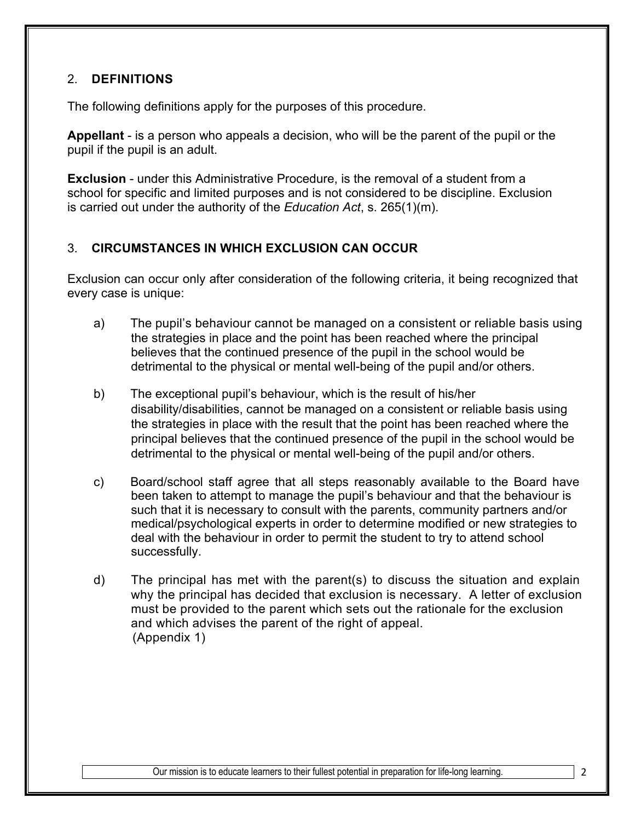## 2. **DEFINITIONS**

The following definitions apply for the purposes of this procedure.

**Appellant** - is a person who appeals a decision, who will be the parent of the pupil or the pupil if the pupil is an adult.

**Exclusion** - under this Administrative Procedure, is the removal of a student from a school for specific and limited purposes and is not considered to be discipline. Exclusion is carried out under the authority of the *Education Act*, s. 265(1)(m).

### 3. **CIRCUMSTANCES IN WHICH EXCLUSION CAN OCCUR**

Exclusion can occur only after consideration of the following criteria, it being recognized that every case is unique:

- a) The pupil's behaviour cannot be managed on a consistent or reliable basis using the strategies in place and the point has been reached where the principal believes that the continued presence of the pupil in the school would be detrimental to the physical or mental well-being of the pupil and/or others.
- b) The exceptional pupil's behaviour, which is the result of his/her disability/disabilities, cannot be managed on a consistent or reliable basis using the strategies in place with the result that the point has been reached where the principal believes that the continued presence of the pupil in the school would be detrimental to the physical or mental well-being of the pupil and/or others.
- c) Board/school staff agree that all steps reasonably available to the Board have been taken to attempt to manage the pupil's behaviour and that the behaviour is such that it is necessary to consult with the parents, community partners and/or medical/psychological experts in order to determine modified or new strategies to deal with the behaviour in order to permit the student to try to attend school successfully.
- d) The principal has met with the parent(s) to discuss the situation and explain why the principal has decided that exclusion is necessary. A letter of exclusion must be provided to the parent which sets out the rationale for the exclusion and which advises the parent of the right of appeal. (Appendix 1)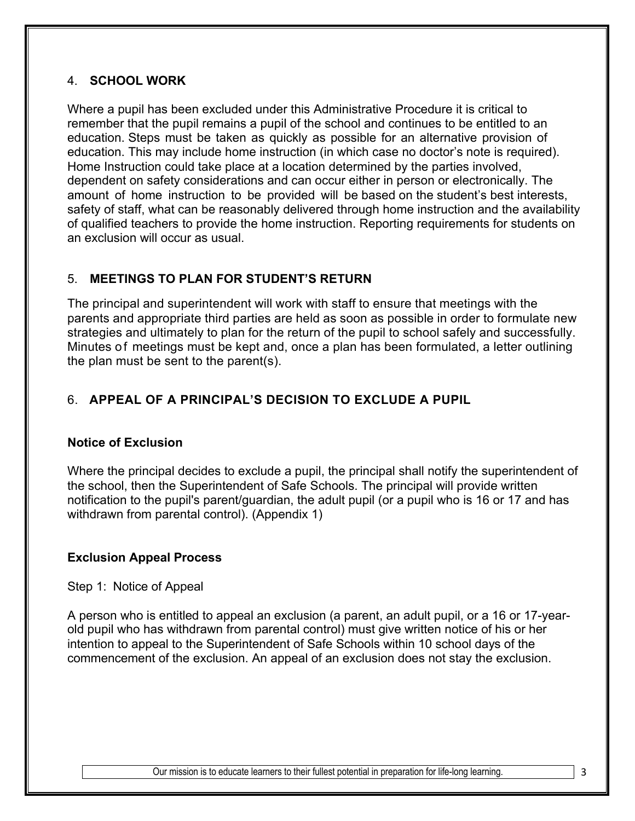### 4. **SCHOOL WORK**

Where a pupil has been excluded under this Administrative Procedure it is critical to remember that the pupil remains a pupil of the school and continues to be entitled to an education. Steps must be taken as quickly as possible for an alternative provision of education. This may include home instruction (in which case no doctor's note is required). Home Instruction could take place at a location determined by the parties involved, dependent on safety considerations and can occur either in person or electronically. The amount of home instruction to be provided will be based on the student's best interests, safety of staff, what can be reasonably delivered through home instruction and the availability of qualified teachers to provide the home instruction. Reporting requirements for students on an exclusion will occur as usual.

### 5. **MEETINGS TO PLAN FOR STUDENT'S RETURN**

The principal and superintendent will work with staff to ensure that meetings with the parents and appropriate third parties are held as soon as possible in order to formulate new strategies and ultimately to plan for the return of the pupil to school safely and successfully. Minutes of meetings must be kept and, once a plan has been formulated, a letter outlining the plan must be sent to the parent(s).

### 6. **APPEAL OF A PRINCIPAL'S DECISION TO EXCLUDE A PUPIL**

#### **Notice of Exclusion**

Where the principal decides to exclude a pupil, the principal shall notify the superintendent of the school, then the Superintendent of Safe Schools. The principal will provide written notification to the pupil's parent/guardian, the adult pupil (or a pupil who is 16 or 17 and has withdrawn from parental control). (Appendix 1)

### **Exclusion Appeal Process**

Step 1: Notice of Appeal

A person who is entitled to appeal an exclusion (a parent, an adult pupil, or a 16 or 17-yearold pupil who has withdrawn from parental control) must give written notice of his or her intention to appeal to the Superintendent of Safe Schools within 10 school days of the commencement of the exclusion. An appeal of an exclusion does not stay the exclusion.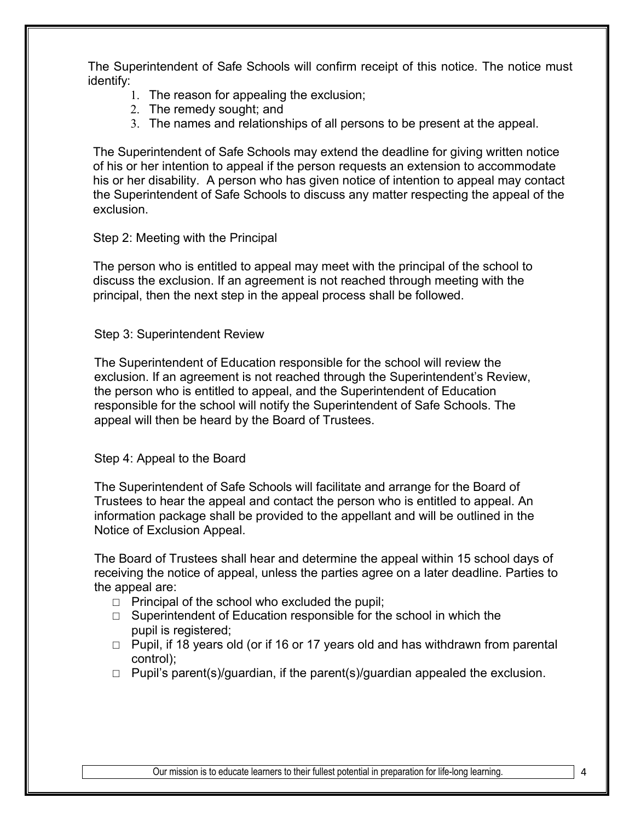The Superintendent of Safe Schools will confirm receipt of this notice. The notice must identify:

- 1. The reason for appealing the exclusion;
- 2. The remedy sought; and
- 3. The names and relationships of all persons to be present at the appeal.

The Superintendent of Safe Schools may extend the deadline for giving written notice of his or her intention to appeal if the person requests an extension to accommodate his or her disability. A person who has given notice of intention to appeal may contact the Superintendent of Safe Schools to discuss any matter respecting the appeal of the exclusion.

#### Step 2: Meeting with the Principal

The person who is entitled to appeal may meet with the principal of the school to discuss the exclusion. If an agreement is not reached through meeting with the principal, then the next step in the appeal process shall be followed.

#### Step 3: Superintendent Review

The Superintendent of Education responsible for the school will review the exclusion. If an agreement is not reached through the Superintendent's Review, the person who is entitled to appeal, and the Superintendent of Education responsible for the school will notify the Superintendent of Safe Schools. The appeal will then be heard by the Board of Trustees.

#### Step 4: Appeal to the Board

The Superintendent of Safe Schools will facilitate and arrange for the Board of Trustees to hear the appeal and contact the person who is entitled to appeal. An information package shall be provided to the appellant and will be outlined in the Notice of Exclusion Appeal.

The Board of Trustees shall hear and determine the appeal within 15 school days of receiving the notice of appeal, unless the parties agree on a later deadline. Parties to the appeal are:

- $\Box$  Principal of the school who excluded the pupil;
- □ Superintendent of Education responsible for the school in which the pupil is registered;
- □ Pupil, if 18 years old (or if 16 or 17 years old and has withdrawn from parental control);
- $\Box$  Pupil's parent(s)/guardian, if the parent(s)/guardian appealed the exclusion.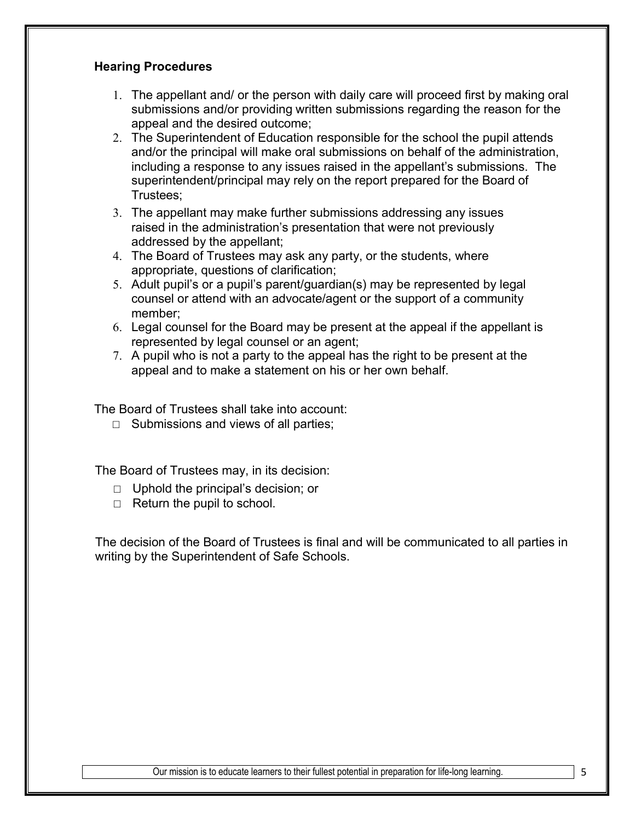#### **Hearing Procedures**

- 1. The appellant and/ or the person with daily care will proceed first by making oral submissions and/or providing written submissions regarding the reason for the appeal and the desired outcome;
- 2. The Superintendent of Education responsible for the school the pupil attends and/or the principal will make oral submissions on behalf of the administration, including a response to any issues raised in the appellant's submissions. The superintendent/principal may rely on the report prepared for the Board of Trustees;
- 3. The appellant may make further submissions addressing any issues raised in the administration's presentation that were not previously addressed by the appellant;
- 4. The Board of Trustees may ask any party, or the students, where appropriate, questions of clarification;
- 5. Adult pupil's or a pupil's parent/guardian(s) may be represented by legal counsel or attend with an advocate/agent or the support of a community member;
- 6. Legal counsel for the Board may be present at the appeal if the appellant is represented by legal counsel or an agent;
- 7. A pupil who is not a party to the appeal has the right to be present at the appeal and to make a statement on his or her own behalf.

The Board of Trustees shall take into account:

□ Submissions and views of all parties;

The Board of Trustees may, in its decision:

- □ Uphold the principal's decision; or
- $\Box$  Return the pupil to school.

The decision of the Board of Trustees is final and will be communicated to all parties in writing by the Superintendent of Safe Schools.